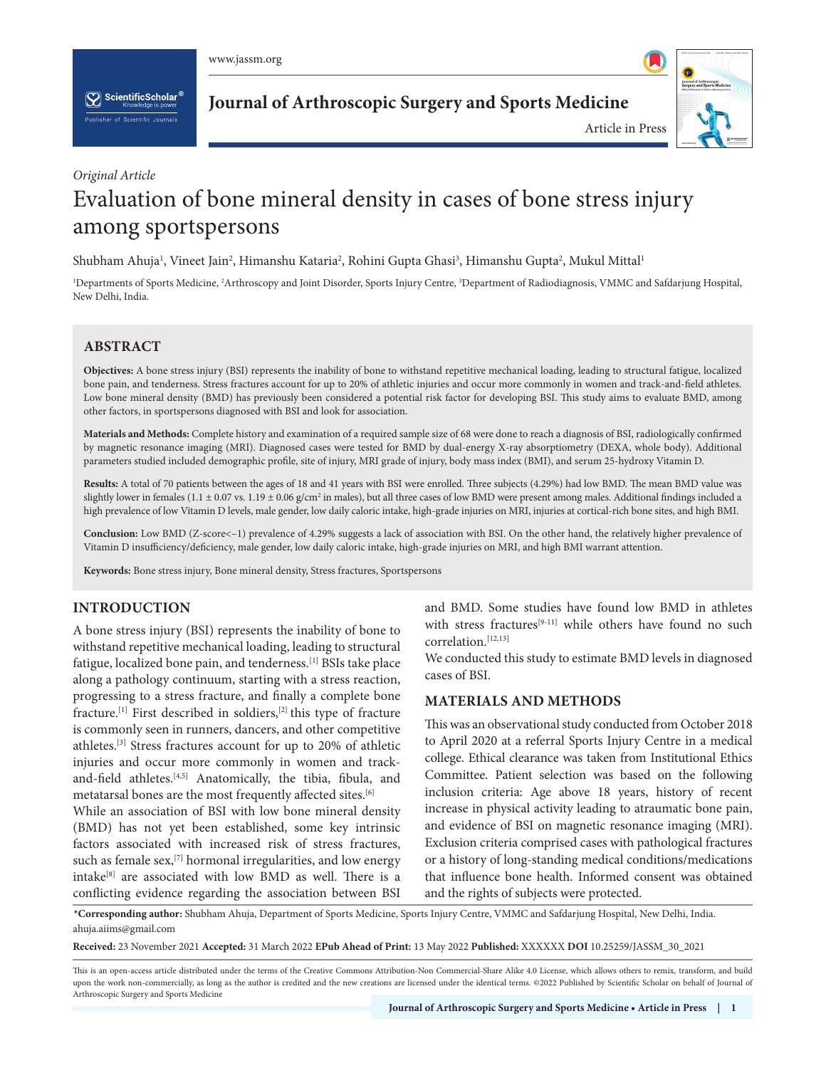$\left[\sum_{k}\right]$  ScientificScholar<sup>®</sup>

**Journal of Arthroscopic Surgery and Sports Medicine**



# *Original Article*

# Evaluation of bone mineral density in cases of bone stress injury among sportspersons

Shubham Ahuja<sup>ı</sup>, Vineet Jain<sup>2</sup>, Himanshu Kataria<sup>2</sup>, Rohini Gupta Ghasi<sup>3</sup>, Himanshu Gupta<sup>2</sup>, Mukul Mittal<sup>ı</sup>

<sup>1</sup>Departments of Sports Medicine, <sup>2</sup>Arthroscopy and Joint Disorder, Sports Injury Centre, <sup>3</sup>Department of Radiodiagnosis, VMMC and Safdarjung Hospital, New Delhi, India.

# **ABSTRACT**

**Objectives:** A bone stress injury (BSI) represents the inability of bone to withstand repetitive mechanical loading, leading to structural fatigue, localized bone pain, and tenderness. Stress fractures account for up to 20% of athletic injuries and occur more commonly in women and track-and-field athletes. Low bone mineral density (BMD) has previously been considered a potential risk factor for developing BSI. This study aims to evaluate BMD, among other factors, in sportspersons diagnosed with BSI and look for association.

**Materials and Methods:** Complete history and examination of a required sample size of 68 were done to reach a diagnosis of BSI, radiologically confirmed by magnetic resonance imaging (MRI). Diagnosed cases were tested for BMD by dual-energy X-ray absorptiometry (DEXA, whole body). Additional parameters studied included demographic profile, site of injury, MRI grade of injury, body mass index (BMI), and serum 25-hydroxy Vitamin D.

**Results:** A total of 70 patients between the ages of 18 and 41 years with BSI were enrolled. Three subjects (4.29%) had low BMD. The mean BMD value was slightly lower in females (1.1 ± 0.07 vs. 1.19 ± 0.06 g/cm<sup>2</sup> in males), but all three cases of low BMD were present among males. Additional findings included a high prevalence of low Vitamin D levels, male gender, low daily caloric intake, high-grade injuries on MRI, injuries at cortical-rich bone sites, and high BMI.

**Conclusion:** Low BMD (Z-score<–1) prevalence of 4.29% suggests a lack of association with BSI. On the other hand, the relatively higher prevalence of Vitamin D insufficiency/deficiency, male gender, low daily caloric intake, high-grade injuries on MRI, and high BMI warrant attention.

**Keywords:** Bone stress injury, Bone mineral density, Stress fractures, Sportspersons

# **INTRODUCTION**

A bone stress injury (BSI) represents the inability of bone to withstand repetitive mechanical loading, leading to structural fatigue, localized bone pain, and tenderness.[1] BSIs take place along a pathology continuum, starting with a stress reaction, progressing to a stress fracture, and finally a complete bone fracture.[1] First described in soldiers,[2] this type of fracture is commonly seen in runners, dancers, and other competitive athletes.[3] Stress fractures account for up to 20% of athletic injuries and occur more commonly in women and trackand-field athletes.<sup>[4,5]</sup> Anatomically, the tibia, fibula, and metatarsal bones are the most frequently affected sites.[6]

While an association of BSI with low bone mineral density (BMD) has not yet been established, some key intrinsic factors associated with increased risk of stress fractures, such as female sex,<sup>[7]</sup> hormonal irregularities, and low energy intake<sup>[8]</sup> are associated with low BMD as well. There is a conflicting evidence regarding the association between BSI

and BMD. Some studies have found low BMD in athletes with stress fractures<sup>[9-11]</sup> while others have found no such correlation.<sup>[12,13]</sup>

We conducted this study to estimate BMD levels in diagnosed cases of BSI.

# **MATERIALS AND METHODS**

This was an observational study conducted from October 2018 to April 2020 at a referral Sports Injury Centre in a medical college. Ethical clearance was taken from Institutional Ethics Committee. Patient selection was based on the following inclusion criteria: Age above 18 years, history of recent increase in physical activity leading to atraumatic bone pain, and evidence of BSI on magnetic resonance imaging (MRI). Exclusion criteria comprised cases with pathological fractures or a history of long-standing medical conditions/medications that influence bone health. Informed consent was obtained and the rights of subjects were protected.

 **\*Corresponding author:** Shubham Ahuja, Department of Sports Medicine, Sports Injury Centre, VMMC and Safdarjung Hospital, New Delhi, India. ahuja.aiims@gmail.com

**Received:** 23 November 2021 **Accepted:** 31 March 2022 **EPub Ahead of Print:** 13 May 2022 **Published:** XXXXXX **DOI** [10.25259/JASSM\\_30\\_2021](https://dx.doi.org/10.25259/JASSM_30_2021)

This is an open-access article distributed under the terms of the Creative Commons Attribution-Non Commercial-Share Alike 4.0 License, which allows others to remix, transform, and build upon the work non-commercially, as long as the author is credited and the new creations are licensed under the identical terms. ©2022 Published by Scientific Scholar on behalf of Journal of Arthroscopic Surgery and Sports Medicine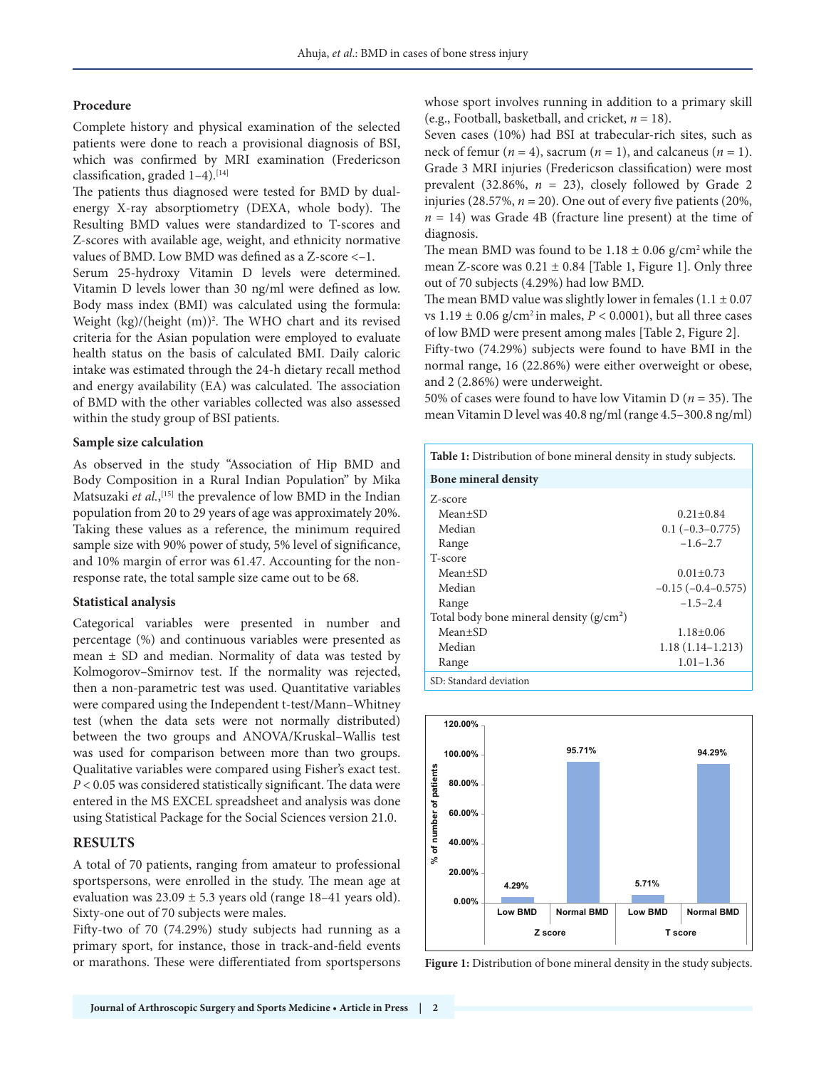#### **Procedure**

Complete history and physical examination of the selected patients were done to reach a provisional diagnosis of BSI, which was confirmed by MRI examination (Fredericson classification, graded  $1-4$ ).<sup>[14]</sup>

The patients thus diagnosed were tested for BMD by dualenergy X-ray absorptiometry (DEXA, whole body). The Resulting BMD values were standardized to T-scores and Z-scores with available age, weight, and ethnicity normative values of BMD. Low BMD was defined as a Z-score <–1.

Serum 25-hydroxy Vitamin D levels were determined. Vitamin D levels lower than 30 ng/ml were defined as low. Body mass index (BMI) was calculated using the formula: Weight (kg)/(height (m))<sup>2</sup>. The WHO chart and its revised criteria for the Asian population were employed to evaluate health status on the basis of calculated BMI. Daily caloric intake was estimated through the 24-h dietary recall method and energy availability (EA) was calculated. The association of BMD with the other variables collected was also assessed within the study group of BSI patients.

## **Sample size calculation**

As observed in the study "Association of Hip BMD and Body Composition in a Rural Indian Population" by Mika Matsuzaki *et al.*,<sup>[15]</sup> the prevalence of low BMD in the Indian population from 20 to 29 years of age was approximately 20%. Taking these values as a reference, the minimum required sample size with 90% power of study, 5% level of significance, and 10% margin of error was 61.47. Accounting for the nonresponse rate, the total sample size came out to be 68.

## **Statistical analysis**

Categorical variables were presented in number and percentage (%) and continuous variables were presented as mean  $\pm$  SD and median. Normality of data was tested by Kolmogorov–Smirnov test. If the normality was rejected, then a non-parametric test was used. Quantitative variables were compared using the Independent t-test/Mann–Whitney test (when the data sets were not normally distributed) between the two groups and ANOVA/Kruskal–Wallis test was used for comparison between more than two groups. Qualitative variables were compared using Fisher's exact test. *P* < 0.05 was considered statistically significant. The data were entered in the MS EXCEL spreadsheet and analysis was done using Statistical Package for the Social Sciences version 21.0.

# **RESULTS**

A total of 70 patients, ranging from amateur to professional sportspersons, were enrolled in the study. The mean age at evaluation was  $23.09 \pm 5.3$  years old (range 18–41 years old). Sixty-one out of 70 subjects were males.

Fifty-two of 70 (74.29%) study subjects had running as a primary sport, for instance, those in track-and-field events or marathons. These were differentiated from sportspersons whose sport involves running in addition to a primary skill (e.g., Football, basketball, and cricket, *n* = 18).

Seven cases (10%) had BSI at trabecular-rich sites, such as neck of femur ( $n = 4$ ), sacrum ( $n = 1$ ), and calcaneus ( $n = 1$ ). Grade 3 MRI injuries (Fredericson classification) were most prevalent (32.86%,  $n = 23$ ), closely followed by Grade 2 injuries (28.57%,  $n = 20$ ). One out of every five patients (20%,  $n = 14$ ) was Grade 4B (fracture line present) at the time of diagnosis.

The mean BMD was found to be  $1.18 \pm 0.06$  g/cm<sup>2</sup> while the mean Z-score was  $0.21 \pm 0.84$  [Table 1, Figure 1]. Only three out of 70 subjects (4.29%) had low BMD.

The mean BMD value was slightly lower in females  $(1.1 \pm 0.07)$ vs  $1.19 \pm 0.06$  g/cm<sup>2</sup> in males,  $P < 0.0001$ ), but all three cases of low BMD were present among males [Table 2, Figure 2].

Fifty-two (74.29%) subjects were found to have BMI in the normal range, 16 (22.86%) were either overweight or obese, and 2 (2.86%) were underweight.

50% of cases were found to have low Vitamin D (*n* = 35). The mean Vitamin D level was 40.8 ng/ml (range 4.5–300.8 ng/ml)

| <b>Table 1:</b> Distribution of bone mineral density in study subjects.  |                                                        |  |  |  |  |
|--------------------------------------------------------------------------|--------------------------------------------------------|--|--|--|--|
| <b>Bone mineral density</b>                                              |                                                        |  |  |  |  |
| Z-score<br>$Mean+SD$<br>Median<br>Range                                  | $0.21 \pm 0.84$<br>$0.1(-0.3-0.775)$<br>$-1.6 - 2.7$   |  |  |  |  |
| T-score<br>$Mean \pm SD$<br>Median<br>Range                              | $0.01 \pm 0.73$<br>$-0.15(-0.4-0.575)$<br>$-1.5 - 2.4$ |  |  |  |  |
| Total body bone mineral density $(g/cm^2)$<br>Mean±SD<br>Median<br>Range | $1.18 \pm 0.06$<br>$1.18(1.14-1.213)$<br>$1.01 - 1.36$ |  |  |  |  |
| SD: Standard deviation                                                   |                                                        |  |  |  |  |



**Figure 1:** Distribution of bone mineral density in the study subjects.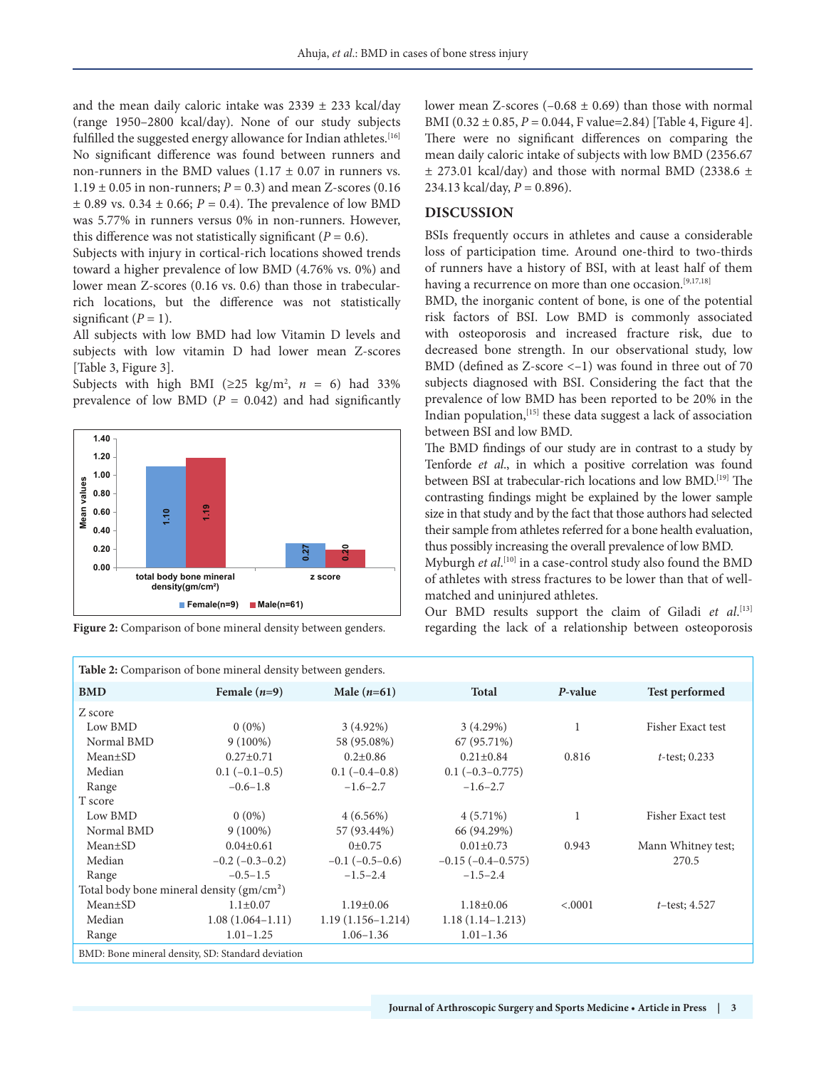and the mean daily caloric intake was  $2339 \pm 233$  kcal/day (range 1950–2800 kcal/day). None of our study subjects fulfilled the suggested energy allowance for Indian athletes.<sup>[16]</sup> No significant difference was found between runners and non-runners in the BMD values  $(1.17 \pm 0.07)$  in runners vs.  $1.19 \pm 0.05$  in non-runners;  $P = 0.3$ ) and mean Z-scores (0.16)  $\pm$  0.89 vs. 0.34  $\pm$  0.66; *P* = 0.4). The prevalence of low BMD was 5.77% in runners versus 0% in non-runners. However, this difference was not statistically significant ( $P = 0.6$ ).

Subjects with injury in cortical-rich locations showed trends toward a higher prevalence of low BMD (4.76% vs. 0%) and lower mean Z-scores (0.16 vs. 0.6) than those in trabecularrich locations, but the difference was not statistically significant  $(P = 1)$ .

All subjects with low BMD had low Vitamin D levels and subjects with low vitamin D had lower mean Z-scores [Table 3, Figure 3].

Subjects with high BMI ( $\geq$ 25 kg/m<sup>2</sup>, *n* = 6) had 33% prevalence of low BMD ( $P = 0.042$ ) and had significantly



Figure 2: Comparison of bone mineral density between genders.

lower mean Z-scores  $(-0.68 \pm 0.69)$  than those with normal BMI (0.32 ± 0.85, *P* = 0.044, F value=2.84) [Table 4, Figure 4]. There were no significant differences on comparing the mean daily caloric intake of subjects with low BMD (2356.67  $\pm$  273.01 kcal/day) and those with normal BMD (2338.6  $\pm$ 234.13 kcal/day, *P* = 0.896).

## **DISCUSSION**

BSIs frequently occurs in athletes and cause a considerable loss of participation time. Around one-third to two-thirds of runners have a history of BSI, with at least half of them having a recurrence on more than one occasion.<sup>[9,17,18]</sup>

BMD, the inorganic content of bone, is one of the potential risk factors of BSI. Low BMD is commonly associated with osteoporosis and increased fracture risk, due to decreased bone strength. In our observational study, low BMD (defined as Z-score <–1) was found in three out of 70 subjects diagnosed with BSI. Considering the fact that the prevalence of low BMD has been reported to be 20% in the Indian population,[15] these data suggest a lack of association between BSI and low BMD.

The BMD findings of our study are in contrast to a study by Tenforde *et al*., in which a positive correlation was found between BSI at trabecular-rich locations and low BMD.[19] The contrasting findings might be explained by the lower sample size in that study and by the fact that those authors had selected their sample from athletes referred for a bone health evaluation, thus possibly increasing the overall prevalence of low BMD.

| Mean<br>0.60<br>0.40<br>0.20<br>$0.00 -$ |            | ុះ<br>1.10                                              |                                                               | 0.20<br>0.27          | size in that study and by the fact that those authors had selected<br>their sample from athletes referred for a bone health evaluation,<br>thus possibly increasing the overall prevalence of low BMD.<br>Myburgh et al. <sup>[10]</sup> in a case-control study also found the BMD |              |                                                                                                                     |  |  |
|------------------------------------------|------------|---------------------------------------------------------|---------------------------------------------------------------|-----------------------|-------------------------------------------------------------------------------------------------------------------------------------------------------------------------------------------------------------------------------------------------------------------------------------|--------------|---------------------------------------------------------------------------------------------------------------------|--|--|
|                                          |            | total body bone mineral<br>density(gm/cm <sup>2</sup> ) |                                                               | z score               | of athletes with stress fractures to be lower than that of well-                                                                                                                                                                                                                    |              |                                                                                                                     |  |  |
|                                          |            |                                                         | $\blacksquare$ Female(n=9)<br>$Male(n=61)$                    |                       | matched and uninjured athletes.                                                                                                                                                                                                                                                     |              |                                                                                                                     |  |  |
|                                          |            |                                                         | Figure 2: Comparison of bone mineral density between genders. |                       |                                                                                                                                                                                                                                                                                     |              | Our BMD results support the claim of Giladi et al.[13]<br>regarding the lack of a relationship between osteoporosis |  |  |
|                                          |            |                                                         | Table 2: Comparison of bone mineral density between genders.  |                       |                                                                                                                                                                                                                                                                                     |              |                                                                                                                     |  |  |
| <b>BMD</b>                               |            |                                                         | Female $(n=9)$                                                | Male $(n=61)$         | <b>Total</b>                                                                                                                                                                                                                                                                        | P-value      | <b>Test performed</b>                                                                                               |  |  |
| Z score                                  |            |                                                         |                                                               |                       |                                                                                                                                                                                                                                                                                     |              |                                                                                                                     |  |  |
| Low BMD                                  |            |                                                         | $0(0\%)$                                                      | $3(4.92\%)$           | 3(4.29%)                                                                                                                                                                                                                                                                            | $\mathbf{1}$ | Fisher Exact test                                                                                                   |  |  |
|                                          | Normal BMD |                                                         | $9(100\%)$                                                    | 58 (95.08%)           | 67 (95.71%)                                                                                                                                                                                                                                                                         |              |                                                                                                                     |  |  |
| $Mean \pm SD$                            |            |                                                         | $0.27 \pm 0.71$                                               | $0.2 \pm 0.86$        | $0.21 \pm 0.84$                                                                                                                                                                                                                                                                     | 0.816        | $t$ -test; 0.233                                                                                                    |  |  |
| Median                                   |            |                                                         | $0.1 (-0.1 - 0.5)$                                            | $0.1(-0.4-0.8)$       | $0.1 (-0.3 - 0.775)$                                                                                                                                                                                                                                                                |              |                                                                                                                     |  |  |
| Range                                    |            |                                                         | $-0.6 - 1.8$                                                  | $-1.6 - 2.7$          | $-1.6 - 2.7$                                                                                                                                                                                                                                                                        |              |                                                                                                                     |  |  |
| T score                                  |            |                                                         |                                                               |                       |                                                                                                                                                                                                                                                                                     |              |                                                                                                                     |  |  |
| Low BMD                                  |            |                                                         | $0(0\%)$                                                      | $4(6.56\%)$           | $4(5.71\%)$                                                                                                                                                                                                                                                                         | $\mathbf{1}$ | Fisher Exact test                                                                                                   |  |  |
|                                          | Normal BMD |                                                         | $9(100\%)$                                                    | 57 (93.44%)           | 66 (94.29%)                                                                                                                                                                                                                                                                         |              |                                                                                                                     |  |  |
| Mean±SD                                  |            |                                                         | $0.04 \pm 0.61$                                               | 0 <sub>±</sub> 0.75   | $0.01 \pm 0.73$                                                                                                                                                                                                                                                                     | 0.943        | Mann Whitney test;                                                                                                  |  |  |
| Median                                   |            |                                                         | $-0.2$ ( $-0.3-0.2$ )                                         | $-0.1$ ( $-0.5-0.6$ ) | $-0.15(-0.4-0.575)$                                                                                                                                                                                                                                                                 |              | 270.5                                                                                                               |  |  |
| Range                                    |            |                                                         | $-0.5-1.5$                                                    | $-1.5-2.4$            | $-1.5-2.4$                                                                                                                                                                                                                                                                          |              |                                                                                                                     |  |  |
|                                          |            |                                                         | Total body bone mineral density $(gm/cm2)$                    |                       |                                                                                                                                                                                                                                                                                     |              |                                                                                                                     |  |  |
| $Mean \pm SD$                            |            |                                                         | $1.1 \pm 0.07$                                                | $1.19 \pm 0.06$       | $1.18 \pm 0.06$                                                                                                                                                                                                                                                                     | < .0001      | $t$ -test; 4.527                                                                                                    |  |  |
| Median                                   |            |                                                         | $1.08(1.064 - 1.11)$                                          | $1.19(1.156 - 1.214)$ | $1.18(1.14-1.213)$                                                                                                                                                                                                                                                                  |              |                                                                                                                     |  |  |
| Range                                    |            |                                                         | $1.01 - 1.25$                                                 | $1.06 - 1.36$         | $1.01 - 1.36$                                                                                                                                                                                                                                                                       |              |                                                                                                                     |  |  |
|                                          |            |                                                         | BMD: Bone mineral density, SD: Standard deviation             |                       |                                                                                                                                                                                                                                                                                     |              |                                                                                                                     |  |  |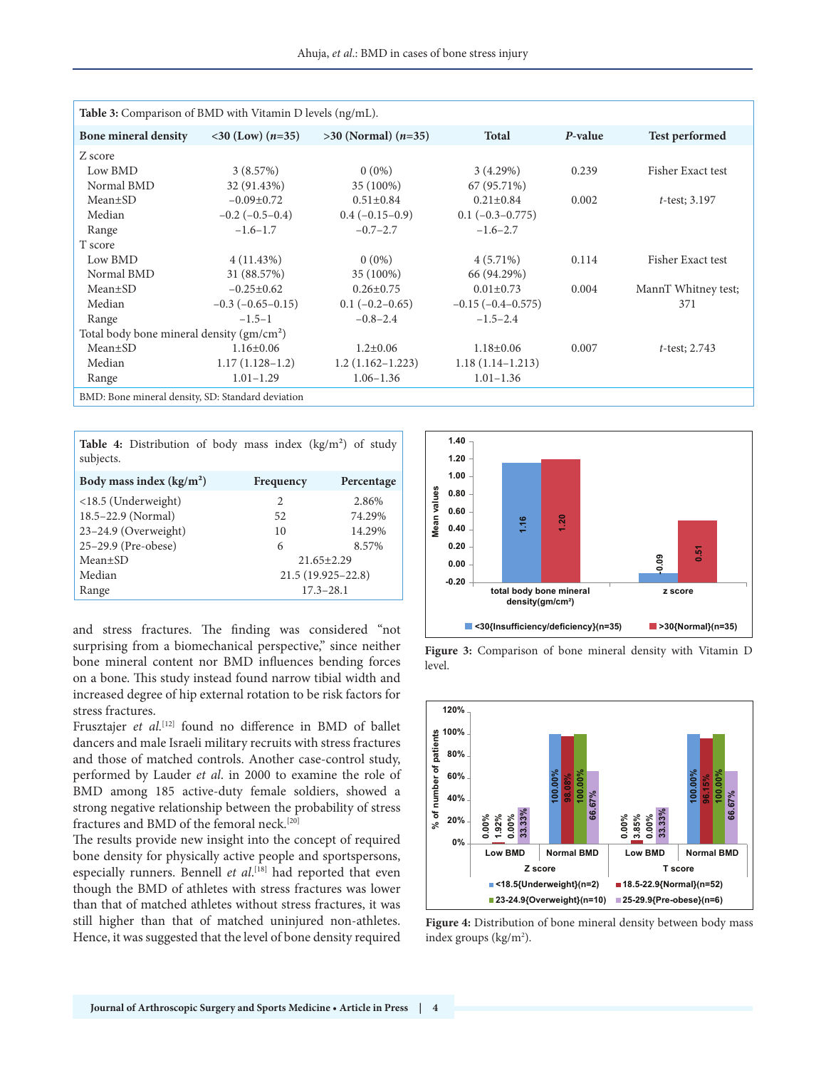| <b>Table 3:</b> Comparison of BMD with Vitamin D levels (ng/mL). |                                     |                         |                      |         |                       |  |
|------------------------------------------------------------------|-------------------------------------|-------------------------|----------------------|---------|-----------------------|--|
| <b>Bone mineral density</b>                                      | $\langle 30 \rangle$ (Low) $(n=35)$ | $>30$ (Normal) $(n=35)$ | <b>Total</b>         | P-value | <b>Test performed</b> |  |
| Z score                                                          |                                     |                         |                      |         |                       |  |
| Low BMD                                                          | 3(8.57%)                            | $0(0\%)$                | 3(4.29%)             | 0.239   | Fisher Exact test     |  |
| Normal BMD                                                       | 32 (91.43%)                         | 35 (100%)               | 67 (95.71%)          |         |                       |  |
| $Mean \pm SD$                                                    | $-0.09\pm0.72$                      | $0.51 \pm 0.84$         | $0.21 \pm 0.84$      | 0.002   | $t$ -test; 3.197      |  |
| Median                                                           | $-0.2$ ( $-0.5-0.4$ )               | $0.4(-0.15-0.9)$        | $0.1 (-0.3 - 0.775)$ |         |                       |  |
| Range                                                            | $-1.6-1.7$                          | $-0.7-2.7$              | $-1.6 - 2.7$         |         |                       |  |
| T score                                                          |                                     |                         |                      |         |                       |  |
| Low BMD                                                          | $4(11.43\%)$                        | $0(0\%)$                | $4(5.71\%)$          | 0.114   | Fisher Exact test     |  |
| Normal BMD                                                       | 31 (88.57%)                         | 35 (100%)               | 66 (94.29%)          |         |                       |  |
| $Mean \pm SD$                                                    | $-0.25 \pm 0.62$                    | $0.26 \pm 0.75$         | $0.01 \pm 0.73$      | 0.004   | MannT Whitney test;   |  |
| Median                                                           | $-0.3$ ( $-0.65 - 0.15$ )           | $0.1(-0.2-0.65)$        | $-0.15(-0.4-0.575)$  |         | 371                   |  |
| Range                                                            | $-1.5-1$                            | $-0.8 - 2.4$            | $-1.5-2.4$           |         |                       |  |
| Total body bone mineral density $(gm/cm2)$                       |                                     |                         |                      |         |                       |  |
| $Mean \pm SD$                                                    | $1.16 \pm 0.06$                     | $1.2 \pm 0.06$          | $1.18 \pm 0.06$      | 0.007   | $t$ -test; 2.743      |  |
| Median                                                           | $1.17(1.128-1.2)$                   | $1.2(1.162 - 1.223)$    | $1.18(1.14-1.213)$   |         |                       |  |
| Range                                                            | $1.01 - 1.29$                       | $1.06 - 1.36$           | $1.01 - 1.36$        |         |                       |  |
| BMD: Bone mineral density, SD: Standard deviation                |                                     |                         |                      |         |                       |  |

**Table 4:** Distribution of body mass index (kg/m²) of study subjects.

| Body mass index $(kg/m2)$ | Frequency             | Percentage |  |
|---------------------------|-----------------------|------------|--|
| <18.5 (Underweight)       | 2                     | 2.86%      |  |
| 18.5–22.9 (Normal)        | 52                    | 74.29%     |  |
| $23-24.9$ (Overweight)    | 10                    | 14.29%     |  |
| 25-29.9 (Pre-obese)       | 6                     | 8.57%      |  |
| $Mean \pm SD$             | $21.65 \pm 2.29$      |            |  |
| Median                    | $21.5(19.925 - 22.8)$ |            |  |
| Range                     | $17.3 - 28.1$         |            |  |

and stress fractures. The finding was considered "not surprising from a biomechanical perspective," since neither bone mineral content nor BMD influences bending forces on a bone. This study instead found narrow tibial width and increased degree of hip external rotation to be risk factors for stress fractures.

Frusztajer et al.<sup>[12]</sup> found no difference in BMD of ballet dancers and male Israeli military recruits with stress fractures and those of matched controls. Another case-control study, performed by Lauder *et al*. in 2000 to examine the role of BMD among 185 active-duty female soldiers, showed a strong negative relationship between the probability of stress fractures and BMD of the femoral neck.[20]

The results provide new insight into the concept of required bone density for physically active people and sportspersons, especially runners. Bennell *et al*.<sup>[18]</sup> had reported that even though the BMD of athletes with stress fractures was lower than that of matched athletes without stress fractures, it was still higher than that of matched uninjured non-athletes. Hence, it was suggested that the level of bone density required



Figure 3: Comparison of bone mineral density with Vitamin D level.



**Figure 4:** Distribution of bone mineral density between body mass index groups (kg/m<sup>2</sup>).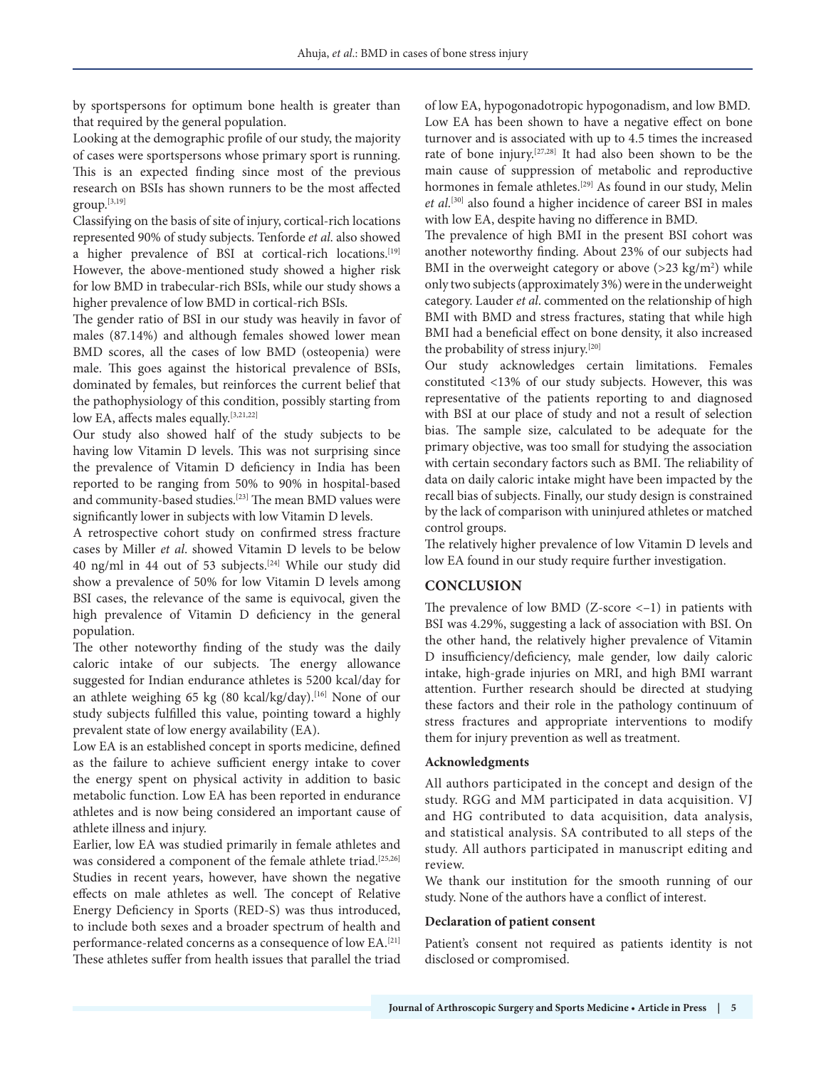by sportspersons for optimum bone health is greater than that required by the general population.

Looking at the demographic profile of our study, the majority of cases were sportspersons whose primary sport is running. This is an expected finding since most of the previous research on BSIs has shown runners to be the most affected group.[3,19]

Classifying on the basis of site of injury, cortical-rich locations represented 90% of study subjects. Tenforde *et al*. also showed a higher prevalence of BSI at cortical-rich locations.[19] However, the above-mentioned study showed a higher risk for low BMD in trabecular-rich BSIs, while our study shows a higher prevalence of low BMD in cortical-rich BSIs.

The gender ratio of BSI in our study was heavily in favor of males (87.14%) and although females showed lower mean BMD scores, all the cases of low BMD (osteopenia) were male. This goes against the historical prevalence of BSIs, dominated by females, but reinforces the current belief that the pathophysiology of this condition, possibly starting from low EA, affects males equally.<sup>[3,21,22]</sup>

Our study also showed half of the study subjects to be having low Vitamin D levels. This was not surprising since the prevalence of Vitamin D deficiency in India has been reported to be ranging from 50% to 90% in hospital-based and community-based studies.[23] The mean BMD values were significantly lower in subjects with low Vitamin D levels.

A retrospective cohort study on confirmed stress fracture cases by Miller *et al*. showed Vitamin D levels to be below 40 ng/ml in 44 out of 53 subjects.[24] While our study did show a prevalence of 50% for low Vitamin D levels among BSI cases, the relevance of the same is equivocal, given the high prevalence of Vitamin D deficiency in the general population.

The other noteworthy finding of the study was the daily caloric intake of our subjects. The energy allowance suggested for Indian endurance athletes is 5200 kcal/day for an athlete weighing 65 kg (80 kcal/kg/day).<sup>[16]</sup> None of our study subjects fulfilled this value, pointing toward a highly prevalent state of low energy availability (EA).

Low EA is an established concept in sports medicine, defined as the failure to achieve sufficient energy intake to cover the energy spent on physical activity in addition to basic metabolic function. Low EA has been reported in endurance athletes and is now being considered an important cause of athlete illness and injury.

Earlier, low EA was studied primarily in female athletes and was considered a component of the female athlete triad.<sup>[25,26]</sup> Studies in recent years, however, have shown the negative effects on male athletes as well. The concept of Relative Energy Deficiency in Sports (RED-S) was thus introduced, to include both sexes and a broader spectrum of health and performance-related concerns as a consequence of low EA.[21] These athletes suffer from health issues that parallel the triad

of low EA, hypogonadotropic hypogonadism, and low BMD. Low EA has been shown to have a negative effect on bone turnover and is associated with up to 4.5 times the increased rate of bone injury.[27,28] It had also been shown to be the main cause of suppression of metabolic and reproductive hormones in female athletes.<sup>[29]</sup> As found in our study, Melin *et al*. [30] also found a higher incidence of career BSI in males with low EA, despite having no difference in BMD.

The prevalence of high BMI in the present BSI cohort was another noteworthy finding. About 23% of our subjects had BMI in the overweight category or above  $(>23 \text{ kg/m}^2)$  while only two subjects (approximately 3%) were in the underweight category. Lauder *et al*. commented on the relationship of high BMI with BMD and stress fractures, stating that while high BMI had a beneficial effect on bone density, it also increased the probability of stress injury.[20]

Our study acknowledges certain limitations. Females constituted <13% of our study subjects. However, this was representative of the patients reporting to and diagnosed with BSI at our place of study and not a result of selection bias. The sample size, calculated to be adequate for the primary objective, was too small for studying the association with certain secondary factors such as BMI. The reliability of data on daily caloric intake might have been impacted by the recall bias of subjects. Finally, our study design is constrained by the lack of comparison with uninjured athletes or matched control groups.

The relatively higher prevalence of low Vitamin D levels and low EA found in our study require further investigation.

# **CONCLUSION**

The prevalence of low BMD ( $Z$ -score  $<-1$ ) in patients with BSI was 4.29%, suggesting a lack of association with BSI. On the other hand, the relatively higher prevalence of Vitamin D insufficiency/deficiency, male gender, low daily caloric intake, high-grade injuries on MRI, and high BMI warrant attention. Further research should be directed at studying these factors and their role in the pathology continuum of stress fractures and appropriate interventions to modify them for injury prevention as well as treatment.

# **Acknowledgments**

All authors participated in the concept and design of the study. RGG and MM participated in data acquisition. VJ and HG contributed to data acquisition, data analysis, and statistical analysis. SA contributed to all steps of the study. All authors participated in manuscript editing and review.

We thank our institution for the smooth running of our study. None of the authors have a conflict of interest.

# **Declaration of patient consent**

Patient's consent not required as patients identity is not disclosed or compromised.